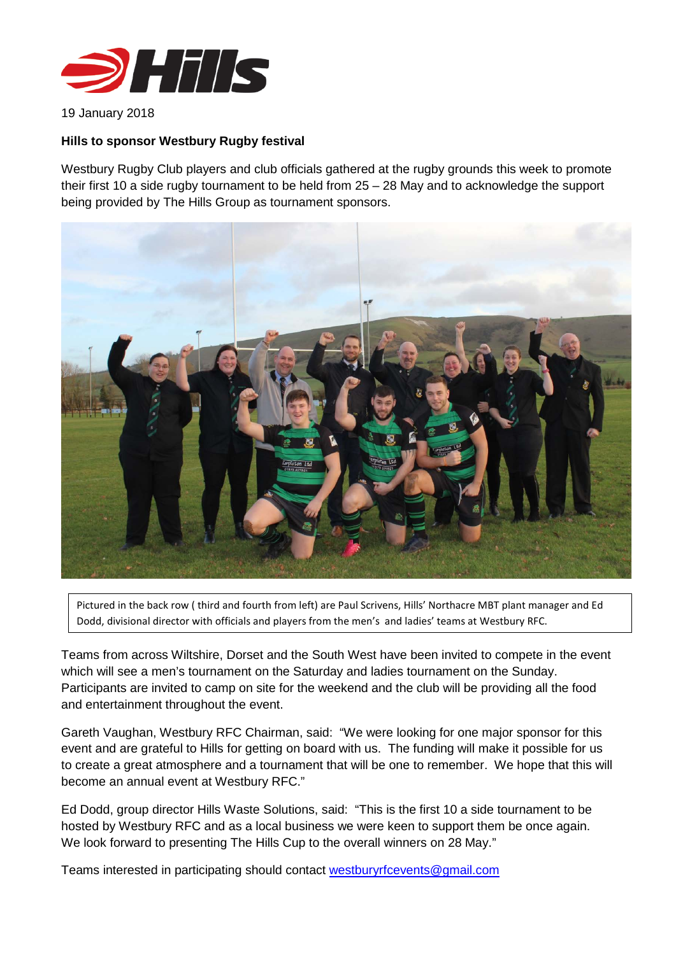

19 January 2018

## **Hills to sponsor Westbury Rugby festival**

Westbury Rugby Club players and club officials gathered at the rugby grounds this week to promote their first 10 a side rugby tournament to be held from 25 – 28 May and to acknowledge the support being provided by The Hills Group as tournament sponsors.



Pictured in the back row ( third and fourth from left) are Paul Scrivens, Hills' Northacre MBT plant manager and Ed Dodd, divisional director with officials and players from the men's and ladies' teams at Westbury RFC.

Teams from across Wiltshire, Dorset and the South West have been invited to compete in the event which will see a men's tournament on the Saturday and ladies tournament on the Sunday. Participants are invited to camp on site for the weekend and the club will be providing all the food and entertainment throughout the event.

Gareth Vaughan, Westbury RFC Chairman, said: "We were looking for one major sponsor for this event and are grateful to Hills for getting on board with us. The funding will make it possible for us to create a great atmosphere and a tournament that will be one to remember. We hope that this will become an annual event at Westbury RFC."

Ed Dodd, group director Hills Waste Solutions, said: "This is the first 10 a side tournament to be hosted by Westbury RFC and as a local business we were keen to support them be once again. We look forward to presenting The Hills Cup to the overall winners on 28 May."

Teams interested in participating should contact [westburyrfcevents@gmail.com](mailto:westburyrfcevents@gmail.com)